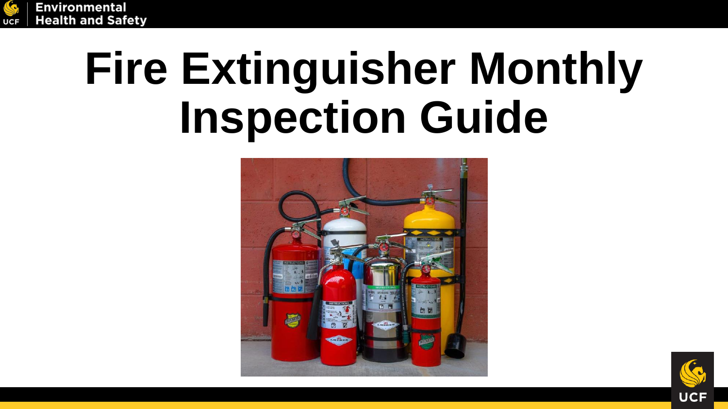

# **Fire Extinguisher Monthly Inspection Guide**



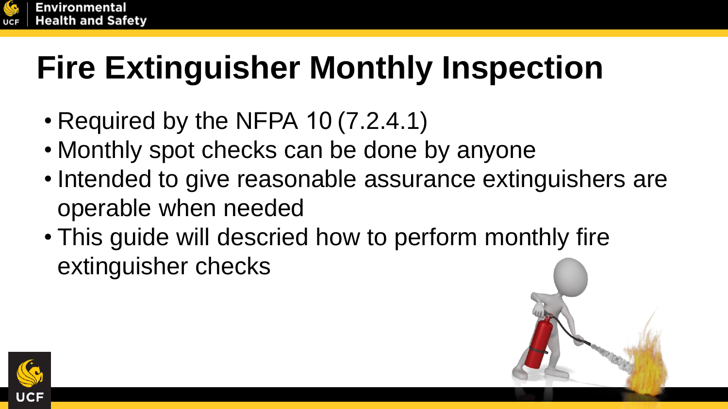

## **Fire Extinguisher Monthly Inspection**

- Required by the NFPA 10 (7.2.4.1)
- Monthly spot checks can be done by anyone
- Intended to give reasonable assurance extinguishers are operable when needed
- This guide will descried how to perform monthly fire extinguisher checks



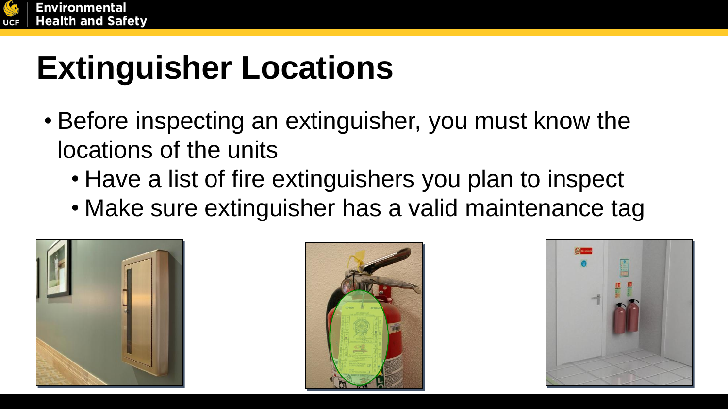

### **Extinguisher Locations**

- Before inspecting an extinguisher, you must know the locations of the units
	- Have a list of fire extinguishers you plan to inspect
	- Make sure extinguisher has a valid maintenance tag





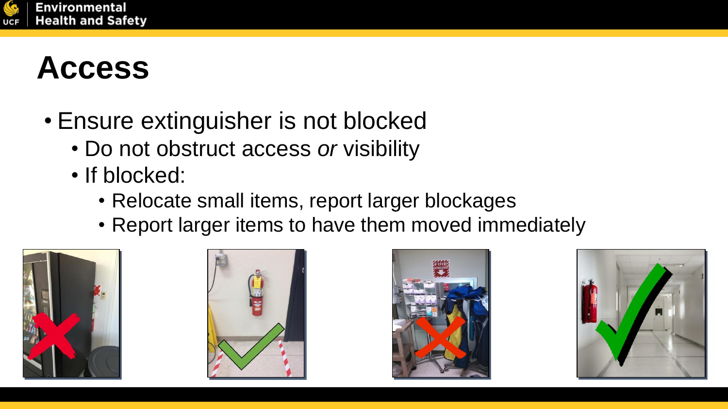

#### **Access**

- Ensure extinguisher is not blocked
	- Do not obstruct access *or* visibility
	- If blocked:
		- Relocate small items, report larger blockages
		- Report larger items to have them moved immediately







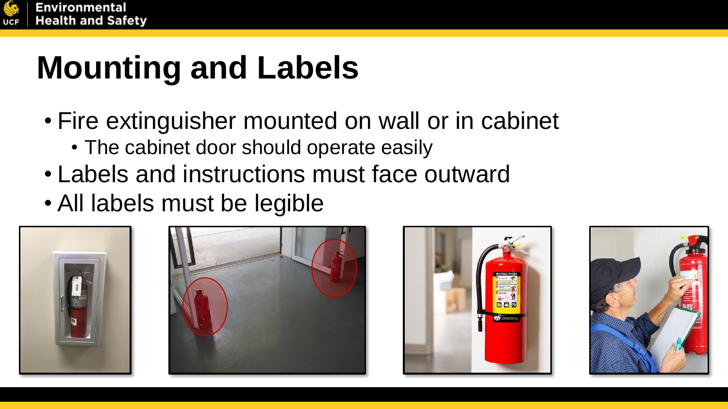

#### **Mounting and Labels**

- Fire extinguisher mounted on wall or in cabinet
	- The cabinet door should operate easily
- Labels and instructions must face outward
- All labels must be legible







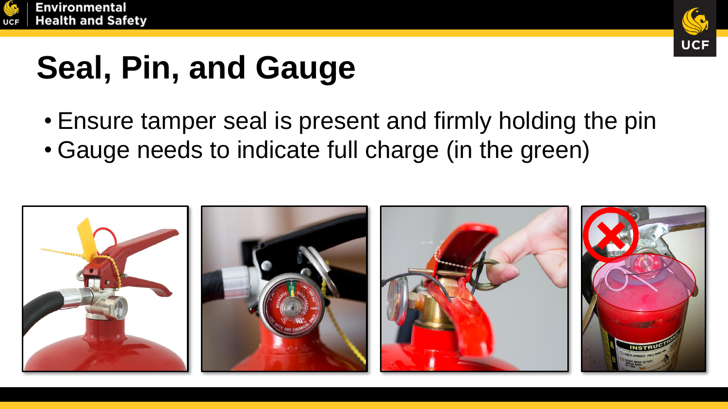



### **Seal, Pin, and Gauge**

- Ensure tamper seal is present and firmly holding the pin
- Gauge needs to indicate full charge (in the green)

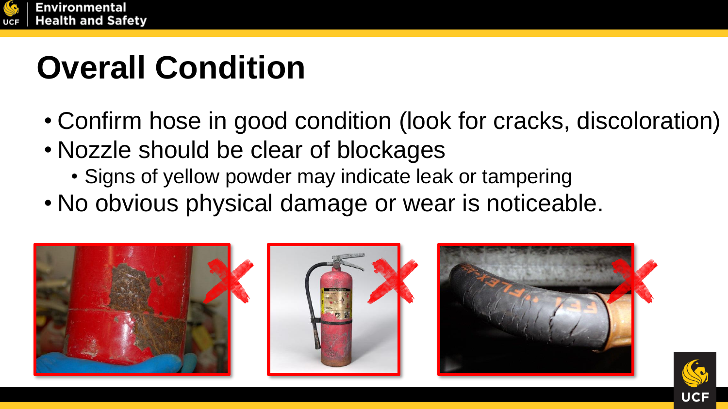

#### **Overall Condition**

- Confirm hose in good condition (look for cracks, discoloration)
- Nozzle should be clear of blockages
	- Signs of yellow powder may indicate leak or tampering
- No obvious physical damage or wear is noticeable.





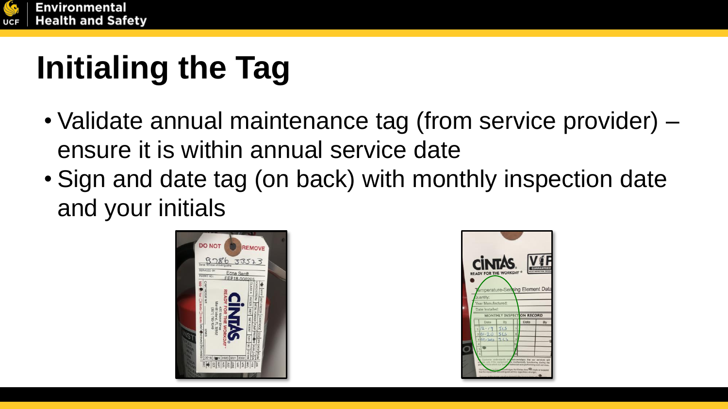

## **Initialing the Tag**

- Validate annual maintenance tag (from service provider) ensure it is within annual service date
- Sign and date tag (on back) with monthly inspection date and your initials



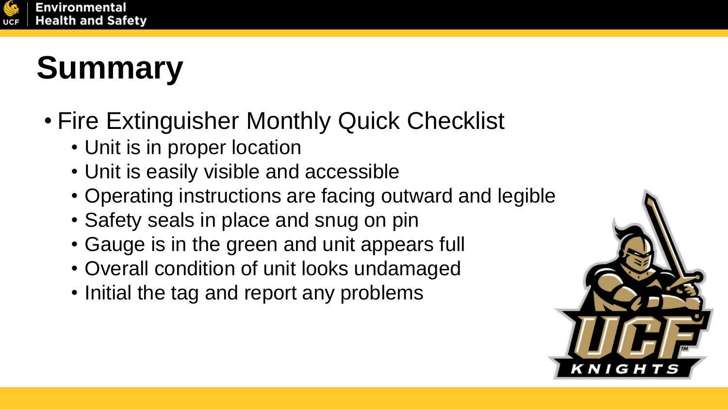

### **Summary**

- Fire Extinguisher Monthly Quick Checklist
	- Unit is in proper location
	- Unit is easily visible and accessible
	- Operating instructions are facing outward and legible
	- Safety seals in place and snug on pin
	- Gauge is in the green and unit appears full
	- Overall condition of unit looks undamaged
	- Initial the tag and report any problems